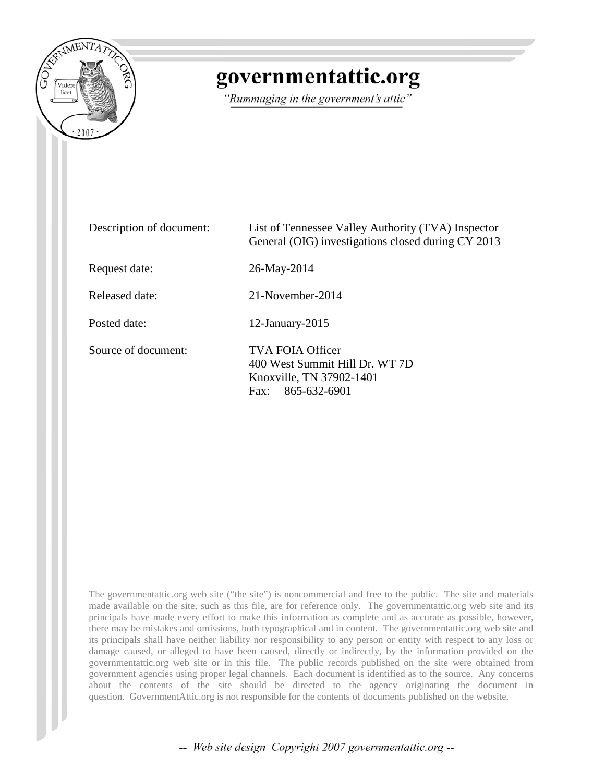

## governmentattic.org

"Rummaging in the government's attic"

| Description of document: | List of Tennessee Valley Authority (TVA) Inspector<br>General (OIG) investigations closed during CY 2013 |
|--------------------------|----------------------------------------------------------------------------------------------------------|
| Request date:            | 26-May-2014                                                                                              |
| Released date:           | 21-November-2014                                                                                         |
| Posted date:             | 12-January-2015                                                                                          |
| Source of document:      | TVA FOIA Officer<br>400 West Summit Hill Dr. WT 7D<br>Knoxville, TN 37902-1401<br>Fax: 865-632-6901      |

The governmentattic.org web site ("the site") is noncommercial and free to the public. The site and materials made available on the site, such as this file, are for reference only. The governmentattic.org web site and its principals have made every effort to make this information as complete and as accurate as possible, however, there may be mistakes and omissions, both typographical and in content. The governmentattic.org web site and its principals shall have neither liability nor responsibility to any person or entity with respect to any loss or damage caused, or alleged to have been caused, directly or indirectly, by the information provided on the governmentattic.org web site or in this file. The public records published on the site were obtained from government agencies using proper legal channels. Each document is identified as to the source. Any concerns about the contents of the site should be directed to the agency originating the document in question. GovernmentAttic.org is not responsible for the contents of documents published on the website.

-- Web site design Copyright 2007 governmentattic.org --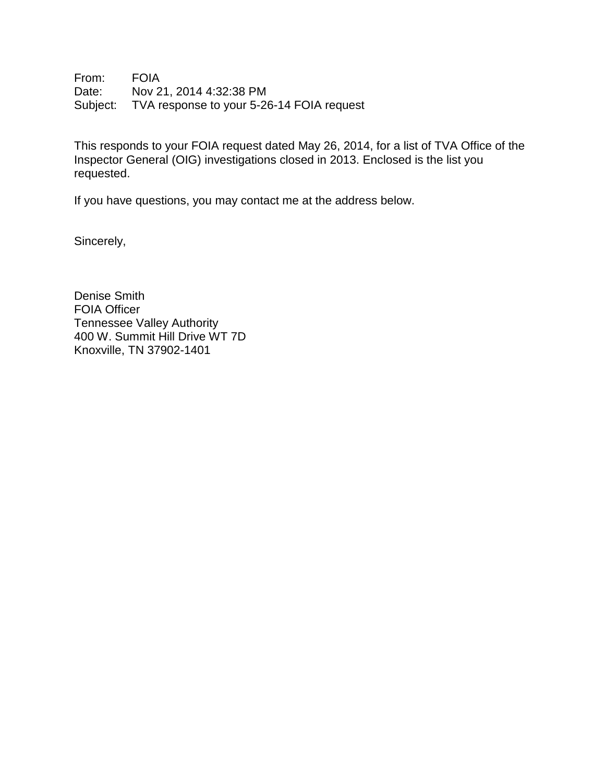From: FOIA Date: Nov 21, 2014 4:32:38 PM Subject: TVA response to your 5-26-14 FOIA request

This responds to your FOIA request dated May 26, 2014, for a list of TVA Office of the Inspector General (OIG) investigations closed in 2013. Enclosed is the list you requested.

If you have questions, you may contact me at the address below.

Sincerely,

Denise Smith FOIA Officer Tennessee Valley Authority 400 W. Summit Hill Drive WT 7D Knoxville, TN 37902-1401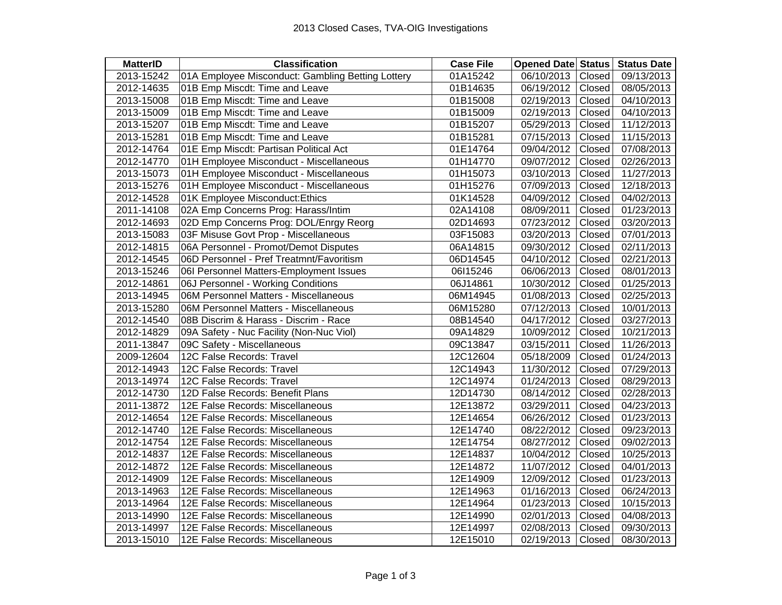| <b>MatterID</b> | <b>Classification</b>                             | <b>Case File</b> | <b>Opened Date Status</b> | <b>Status Date</b> |
|-----------------|---------------------------------------------------|------------------|---------------------------|--------------------|
| 2013-15242      | 01A Employee Misconduct: Gambling Betting Lottery | 01A15242         | 06/10/2013<br>Closed      | 09/13/2013         |
| 2012-14635      | 01B Emp Miscdt: Time and Leave                    | 01B14635         | 06/19/2012<br>Closed      | 08/05/2013         |
| 2013-15008      | 01B Emp Miscdt: Time and Leave                    | 01B15008         | Closed<br>02/19/2013      | 04/10/2013         |
| 2013-15009      | 01B Emp Miscdt: Time and Leave                    | 01B15009         | Closed<br>02/19/2013      | 04/10/2013         |
| 2013-15207      | 01B Emp Miscdt: Time and Leave                    | 01B15207         | 05/29/2013<br>Closed      | 11/12/2013         |
| 2013-15281      | 01B Emp Miscdt: Time and Leave                    | 01B15281         | Closed<br>07/15/2013      | 11/15/2013         |
| 2012-14764      | 01E Emp Miscdt: Partisan Political Act            | 01E14764         | Closed<br>09/04/2012      | 07/08/2013         |
| 2012-14770      | 01H Employee Misconduct - Miscellaneous           | 01H14770         | Closed<br>09/07/2012      | 02/26/2013         |
| 2013-15073      | 01H Employee Misconduct - Miscellaneous           | 01H15073         | 03/10/2013<br>Closed      | 11/27/2013         |
| 2013-15276      | 01H Employee Misconduct - Miscellaneous           | 01H15276         | Closed<br>07/09/2013      | 12/18/2013         |
| 2012-14528      | 01K Employee Misconduct: Ethics                   | 01K14528         | 04/09/2012<br>Closed      | 04/02/2013         |
| 2011-14108      | 02A Emp Concerns Prog: Harass/Intim               | 02A14108         | Closed<br>08/09/2011      | 01/23/2013         |
| 2012-14693      | 02D Emp Concerns Prog: DOL/Enrgy Reorg            | 02D14693         | Closed<br>07/23/2012      | 03/20/2013         |
| 2013-15083      | 03F Misuse Govt Prop - Miscellaneous              | 03F15083         | Closed<br>03/20/2013      | 07/01/2013         |
| 2012-14815      | 06A Personnel - Promot/Demot Disputes             | 06A14815         | Closed<br>09/30/2012      | 02/11/2013         |
| 2012-14545      | 06D Personnel - Pref Treatmnt/Favoritism          | 06D14545         | Closed<br>04/10/2012      | 02/21/2013         |
| 2013-15246      | 06I Personnel Matters-Employment Issues           | 06l15246         | 06/06/2013<br>Closed      | 08/01/2013         |
| 2012-14861      | 06J Personnel - Working Conditions                | 06J14861         | 10/30/2012<br>Closed      | 01/25/2013         |
| 2013-14945      | 06M Personnel Matters - Miscellaneous             | 06M14945         | 01/08/2013<br>Closed      | 02/25/2013         |
| 2013-15280      | 06M Personnel Matters - Miscellaneous             | 06M15280         | 07/12/2013<br>Closed      | 10/01/2013         |
| 2012-14540      | 08B Discrim & Harass - Discrim - Race             | 08B14540         | 04/17/2012<br>Closed      | 03/27/2013         |
| 2012-14829      | 09A Safety - Nuc Facility (Non-Nuc Viol)          | 09A14829         | Closed<br>10/09/2012      | 10/21/2013         |
| 2011-13847      | 09C Safety - Miscellaneous                        | 09C13847         | Closed<br>03/15/2011      | 11/26/2013         |
| 2009-12604      | 12C False Records: Travel                         | 12C12604         | Closed<br>05/18/2009      | 01/24/2013         |
| 2012-14943      | 12C False Records: Travel                         | 12C14943         | Closed<br>11/30/2012      | 07/29/2013         |
| 2013-14974      | 12C False Records: Travel                         | 12C14974         | Closed<br>01/24/2013      | 08/29/2013         |
| 2012-14730      | 12D False Records: Benefit Plans                  | 12D14730         | 08/14/2012<br>Closed      | 02/28/2013         |
| 2011-13872      | 12E False Records: Miscellaneous                  | 12E13872         | Closed<br>03/29/2011      | 04/23/2013         |
| 2012-14654      | 12E False Records: Miscellaneous                  | 12E14654         | Closed<br>06/26/2012      | 01/23/2013         |
| 2012-14740      | 12E False Records: Miscellaneous                  | 12E14740         | Closed<br>08/22/2012      | 09/23/2013         |
| 2012-14754      | 12E False Records: Miscellaneous                  | 12E14754         | 08/27/2012<br>Closed      | 09/02/2013         |
| 2012-14837      | 12E False Records: Miscellaneous                  | 12E14837         | Closed<br>10/04/2012      | 10/25/2013         |
| 2012-14872      | 12E False Records: Miscellaneous                  | 12E14872         | 11/07/2012<br>Closed      | 04/01/2013         |
| 2012-14909      | 12E False Records: Miscellaneous                  | 12E14909         | 12/09/2012<br>Closed      | 01/23/2013         |
| 2013-14963      | 12E False Records: Miscellaneous                  | 12E14963         | 01/16/2013<br>Closed      | 06/24/2013         |
| 2013-14964      | 12E False Records: Miscellaneous                  | 12E14964         | Closed<br>01/23/2013      | 10/15/2013         |
| 2013-14990      | 12E False Records: Miscellaneous                  | 12E14990         | Closed<br>02/01/2013      | 04/08/2013         |
| 2013-14997      | 12E False Records: Miscellaneous                  | 12E14997         | 02/08/2013<br>Closed      | 09/30/2013         |
| 2013-15010      | 12E False Records: Miscellaneous                  | 12E15010         | 02/19/2013<br>Closed      | 08/30/2013         |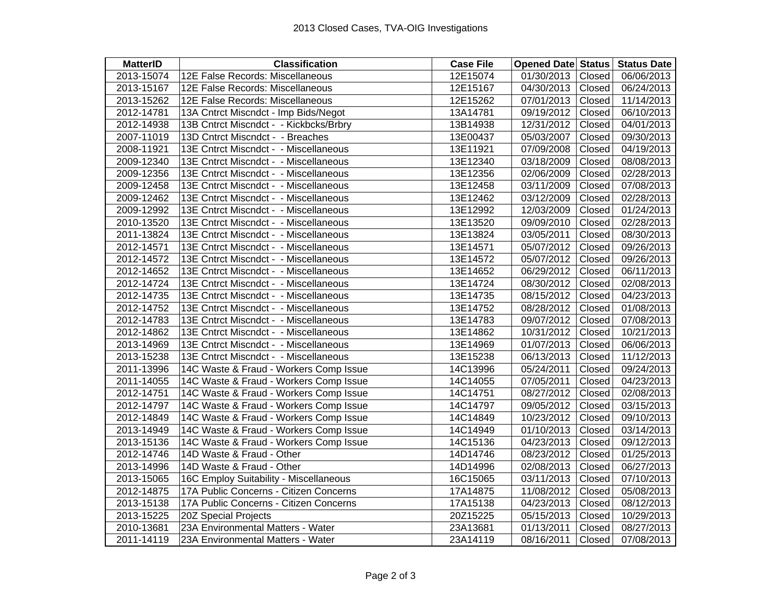| <b>MatterID</b> | <b>Classification</b>                  | <b>Case File</b> | <b>Opened Date Status Status Date</b> |            |
|-----------------|----------------------------------------|------------------|---------------------------------------|------------|
| 2013-15074      | 12E False Records: Miscellaneous       | 12E15074         | 01/30/2013<br>Closed                  | 06/06/2013 |
| 2013-15167      | 12E False Records: Miscellaneous       | 12E15167         | 04/30/2013<br>Closed                  | 06/24/2013 |
| 2013-15262      | 12E False Records: Miscellaneous       | 12E15262         | 07/01/2013<br>Closed                  | 11/14/2013 |
| 2012-14781      | 13A Cntrct Miscndct - Imp Bids/Negot   | 13A14781         | 09/19/2012<br>Closed                  | 06/10/2013 |
| 2012-14938      | 13B Cntrct Miscndct - - Kickbcks/Brbry | 13B14938         | Closed<br>12/31/2012                  | 04/01/2013 |
| 2007-11019      | 13D Cntrct Miscndct - - Breaches       | 13E00437         | Closed<br>05/03/2007                  | 09/30/2013 |
| 2008-11921      | 13E Cntrct Miscndct - - Miscellaneous  | 13E11921         | 07/09/2008<br>Closed                  | 04/19/2013 |
| 2009-12340      | 13E Cntrct Miscndct - - Miscellaneous  | 13E12340         | 03/18/2009<br>Closed                  | 08/08/2013 |
| 2009-12356      | 13E Cntrct Miscndct - - Miscellaneous  | 13E12356         | 02/06/2009<br>Closed                  | 02/28/2013 |
| 2009-12458      | 13E Cntrct Miscndct - - Miscellaneous  | 13E12458         | 03/11/2009<br>Closed                  | 07/08/2013 |
| 2009-12462      | 13E Cntrct Miscndct - - Miscellaneous  | 13E12462         | 03/12/2009<br>Closed                  | 02/28/2013 |
| 2009-12992      | 13E Cntrct Miscndct - - Miscellaneous  | 13E12992         | 12/03/2009<br>Closed                  | 01/24/2013 |
| 2010-13520      | 13E Cntrct Miscndct - - Miscellaneous  | 13E13520         | Closed<br>09/09/2010                  | 02/28/2013 |
| 2011-13824      | 13E Cntrct Miscndct - - Miscellaneous  | 13E13824         | 03/05/2011<br>Closed                  | 08/30/2013 |
| 2012-14571      | 13E Cntrct Miscndct - - Miscellaneous  | 13E14571         | Closed<br>05/07/2012                  | 09/26/2013 |
| 2012-14572      | 13E Cntrct Miscndct - - Miscellaneous  | 13E14572         | Closed<br>05/07/2012                  | 09/26/2013 |
| 2012-14652      | 13E Cntrct Miscndct - - Miscellaneous  | 13E14652         | 06/29/2012<br>Closed                  | 06/11/2013 |
| 2012-14724      | 13E Cntrct Miscndct - - Miscellaneous  | 13E14724         | Closed<br>08/30/2012                  | 02/08/2013 |
| 2012-14735      | 13E Cntrct Miscndct - - Miscellaneous  | 13E14735         | Closed<br>08/15/2012                  | 04/23/2013 |
| 2012-14752      | 13E Cntrct Miscndct - - Miscellaneous  | 13E14752         | Closed<br>08/28/2012                  | 01/08/2013 |
| 2012-14783      | 13E Cntrct Miscndct - - Miscellaneous  | 13E14783         | 09/07/2012<br>Closed                  | 07/08/2013 |
| 2012-14862      | 13E Cntrct Miscndct - - Miscellaneous  | 13E14862         | 10/31/2012<br>Closed                  | 10/21/2013 |
| 2013-14969      | 13E Cntrct Miscndct - - Miscellaneous  | 13E14969         | Closed<br>01/07/2013                  | 06/06/2013 |
| 2013-15238      | 13E Cntrct Miscndct - - Miscellaneous  | 13E15238         | 06/13/2013<br>Closed                  | 11/12/2013 |
| 2011-13996      | 14C Waste & Fraud - Workers Comp Issue | 14C13996         | Closed<br>05/24/2011                  | 09/24/2013 |
| 2011-14055      | 14C Waste & Fraud - Workers Comp Issue | 14C14055         | 07/05/2011<br>Closed                  | 04/23/2013 |
| 2012-14751      | 14C Waste & Fraud - Workers Comp Issue | 14C14751         | Closed<br>08/27/2012                  | 02/08/2013 |
| 2012-14797      | 14C Waste & Fraud - Workers Comp Issue | 14C14797         | Closed<br>09/05/2012                  | 03/15/2013 |
| 2012-14849      | 14C Waste & Fraud - Workers Comp Issue | 14C14849         | 10/23/2012<br>Closed                  | 09/10/2013 |
| 2013-14949      | 14C Waste & Fraud - Workers Comp Issue | 14C14949         | 01/10/2013<br>Closed                  | 03/14/2013 |
| 2013-15136      | 14C Waste & Fraud - Workers Comp Issue | 14C15136         | 04/23/2013<br>Closed                  | 09/12/2013 |
| 2012-14746      | 14D Waste & Fraud - Other              | 14D14746         | 08/23/2012<br>Closed                  | 01/25/2013 |
| 2013-14996      | 14D Waste & Fraud - Other              | 14D14996         | 02/08/2013<br>Closed                  | 06/27/2013 |
| 2013-15065      | 16C Employ Suitability - Miscellaneous | 16C15065         | Closed<br>03/11/2013                  | 07/10/2013 |
| 2012-14875      | 17A Public Concerns - Citizen Concerns | 17A14875         | 11/08/2012<br>Closed                  | 05/08/2013 |
| 2013-15138      | 17A Public Concerns - Citizen Concerns | 17A15138         | Closed<br>04/23/2013                  | 08/12/2013 |
| 2013-15225      | 20Z Special Projects                   | 20Z15225         | 05/15/2013<br>Closed                  | 10/29/2013 |
| 2010-13681      | 23A Environmental Matters - Water      | 23A13681         | 01/13/2011<br>Closed                  | 08/27/2013 |
| 2011-14119      | 23A Environmental Matters - Water      | 23A14119         | 08/16/2011<br>Closed                  | 07/08/2013 |